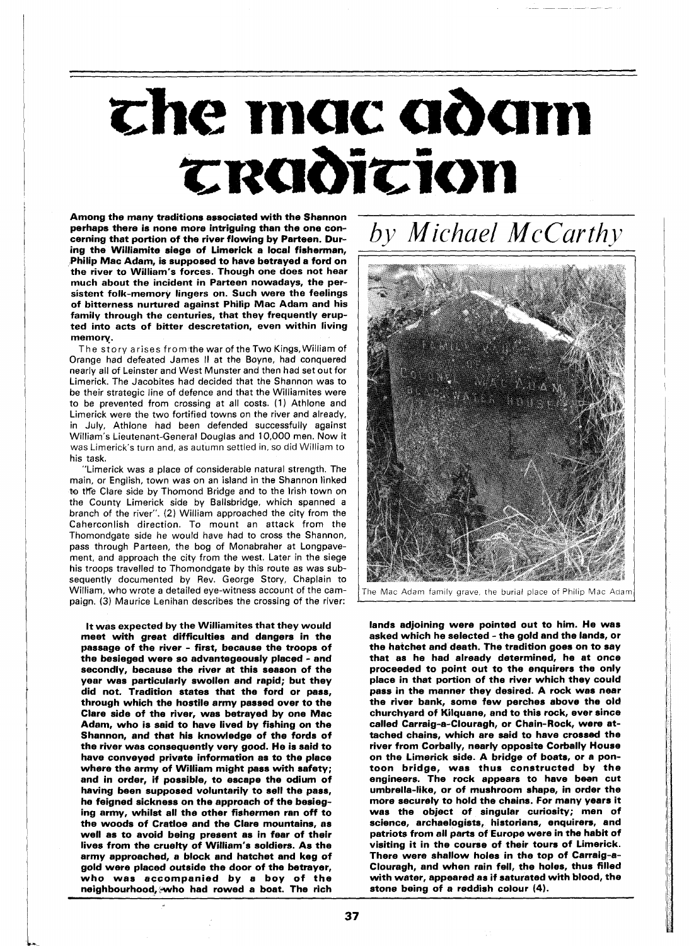## che mac adam CRODICION

Among the many traditions associated with the Shannon perhaps there is none more intriguing than the one concerning that portion of the river flowing by Parteen. During the Williamite siege of Limerick a local fisherman, Philip Mac Adam, is supposed to have betrayed a ford on the river to William's forces. Though one does not hear much about the incident in Parteen nowadays, the persistent folk-memory lingers on. Such were the feelings of bitterness nurtured against Philip Mac Adam and his family through the centuries, that they frequently erupted into acts of bitter descretation, even within living memory.

The story arises from the war of the Two Kings, William of Orange had defeated James II at the Boyne, had conquered nearly all of Leinster and West Munster and then had set out for Limerick. The Jacobites had decided that the Shannon was to be their strategic line of defence and that the Williamites were to be prevented from crossing at all costs. **(1)** Athlone and Limerick were the two fortified towns on the river and already, in July, Athlone had been defended successfully against William's Lieutenant-General Douglas and 10,000 men. Now it was Limerick's turn and, as autumn settled in, so did William to his task.

"Limerick was a place of considerable natural strength. The main, or English, town was on an island in the Shannon linked to the Clare side by Thomond Bridge and to the Irish town on the County Limerick side by Ballsbridge, which spanned a branch of the river". (2) William approached the city from the Caherconlish direction. To mount an attack from the Thomondgate side he would have had to cross the Shannon, pass through Parteen, the bog of Monabraher at Longpavement, and approach the city from the west. Later in the siege his troops travelled to Thomondgate by this route as was subsequently documented by Rev. George Story, Chaplain to William, who wrote a detailed eye-witness account of the campaign. (3) Maurice Lenihan describes the crossing of the river:

It was expected by the Williamites that they would meet with great difficulties and dangers in the passage of the river - first, because the troops of the besieged were so advantegeously placed - and secondly, because the river at this season of the year was particularly swollen and rapid; but they did not. Tradition states that the ford or pass, through which the hostile army passed over to the Clare side of the river, was betrayed by one Mac Adam, who is said to have lived by fishing on the Shannon, and that his knowledge of the fords of the river was consequently very good. He is said to have conveyed private information as to the place where the army of William might pass with safety; and in order, if possible, to escape the odium of having been supposed voluntarily to sell the pass, he feigned sickness on the approach of the besieging army, whilst all the other fishermen ran off to the woods of Cratloe and the Clare mountains, as well as to avoid being present as in fear of their lives from the cruelty of William's soldiers. As the army approached, a block and hatchet and keg of gold were placed outside the door of the betrayer, who was accompanied by a boy of the neighbourhood, who had rowed a boat. The rich *by Michael McCurthy* 



The Mac Adam family grave, the burial place of Philip Mac Adam

lands adjoining were pointed out to him. He was asked which he selected - the gold and the lands, or the hatchet and death. The tradition goes on to say that as he had already determined, he at once proceeded to point out to the enquirers the only place in that portion of the river which they could pass in the manner they desired. A rock was near the river bank, some few perches above the old churchyard of Kilquane, and to this rock, ever since called Carraig-a-Clouragh, or Chain-Rock, were attached chains, which are said to have crossed the river from Corbally, nearly opposite Corbally House on the Limerick side. A bridge of boats, or a pontoon bridge, was thus constructed by the engineers. The rock appears to have been cut umbrella-like. or of mushroom shape, in order the more securely to hold the chains. For many years it was the object of singular curiosity; men of science, archaelogists, historians, enquirers, and patriots from all parts of Europe were in the habit of visiting it in the course of their tours of Limerick. There were shallow holes in the top of Carraig-a-Clouragh, and when rain fell, the holes, thus filled with water, appeared as if saturated with blood, the stone being of a reddish colour (4).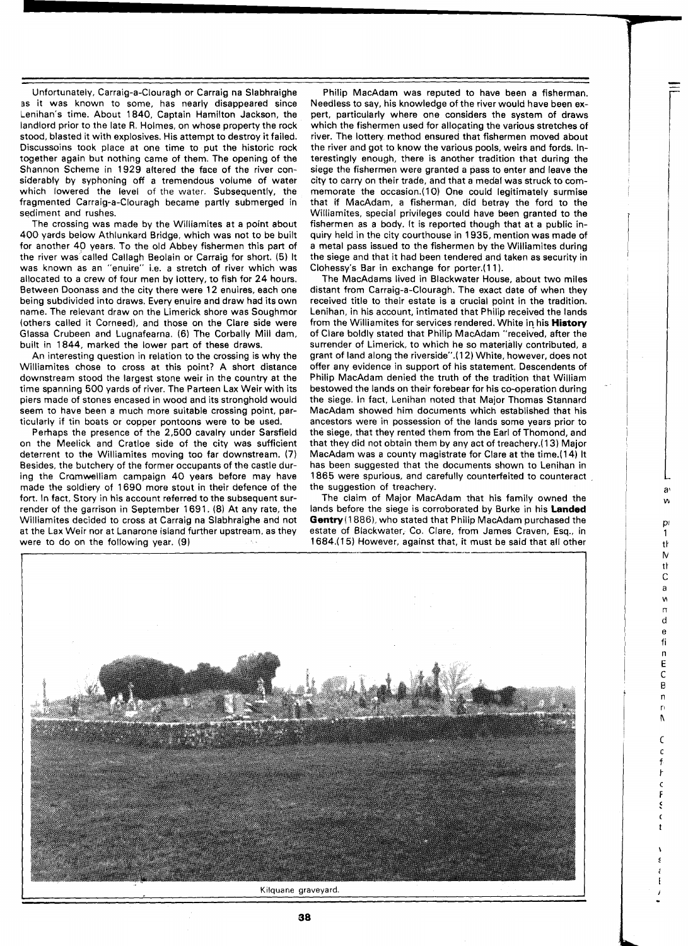Unfortunately, Carraig-a-Clouragh or Carraig na Slabhraighe ss it was known to some, has nearly disappeared since Lenihan's time. About 1840, Captain Hamilton Jackson, the landlord prior to the late R. Holmes, on whose property the rock stood, blasted it with explosives. His attempt to destroy it failed. Discussoins took place at one time to put the historic rock together again but nothing came of them. The opening of the Shannon Scheme in 1929 altered the face of the river considerably by syphoning off a tremendous volume of water which lowered the level of the water. Subsequently, the fragmented Carraig-a-Clouragh became partly submerged in sediment and rushes.

The crossing was made by the Williamites at a point about 400 yards below Athlunkard Bridge, which was not to be built for another 40 years. To the old Abbey fishermen this part of the river was called Callagh Beolain or Carraig for short. (5) It was known as an "enuire" i.e. a stretch of river which was allocated to a crew of four men by lottery, to fish for 24 hours. Between Doonass and the city there were 12 enuires, each one being subdivided into draws. Every enuire and draw had its own name. The relevant draw on the Limerick shore was Soughmor (others called it Corneed), and those on the Clare side were Glassa Crubeen and Lugnafearna. (6) The Corbally Mill dam, built in 1844, marked the lower part of these draws.

An interesting question in relation to the crossing is why the Williamites chose to cross at this point? A short distance downstream stood the largest stone weir in the country at the time spanning 500 yards of river. The Parteen Lax Weir with its piers made of stones encased in wood and its stronghold would seem to have been a much more suitable crossing point, particularly if tin boats or copper pontoons were to be used.

Perhaps the presence of the 2,500 cavalry under Sarsfield on the Meelick and Cratloe side of the city was sufficient deterrent to the Williamites moving too far downstream. **(7)**  Besides, the butchery of the former occupants of the castle during the Cromwelliam campaign 40 years before may have made the soldiery of 1690 more stout in their defence of the fort. In fact, Story in his account referred to the subsequent surrender of the garrison in September 1691. (8) At any rate, the Williamites decided to cross at Carraig na Slabhraighe and not at the Lax Weir nor at Lanarone island further upstream, as they were to do on the following year. (9)

Philip MacAdam was reputed to have been a fisherman. Needless to say, his knowledge of the river would have been expert, particularly where one considers the system of draws which the fishermen used for allocating the various stretches of river. The lottery method ensured that fishermen moved about the river and got to know the various pools, weirs and fords. Interestingly enough, there is another tradition that during the siege the fishermen were granted a pass to enter and leave the city to carry on their trade, and that a medal was struck to commemorate the occasion.(10) One could legitimately surmise that if MacAdam, a fisherman, did betray the ford to the Williamites, special privileges could have been granted to the fishermen as a body. It is reported though that at a public inquiry held in the city courthouse in 1935, mention was made of a metal pass issued to the fishermen by the Williamites during the siege and that it had been tendered and taken as security in Clohessy's Bar in exchange for porter.(11).

The MacAdams lived in Blackwater House, about two miles distant from Carraig-a-Clouragh. The exact date of when they received title to their estate is a crucial point in the tradition. Lenihan, in his account, intimated that Philip received the lands from the Williamites for services rendered. White in his **History** of Clare boldly stated that Philip MacAdam "received, after the surrender of Limerick, to which he so materially contributed, a grant of land along the riverside".(12) White, however, does not offer any evidence in support of his statement. Descendents of Philip MacAdam denied the truth of the tradition that William bestowed the lands on their forebear for his co-operation during the siege. In fact, Lenihan noted that Major Thomas Stannard MacAdam showed him documents which established that his ancestors were in possession of the lands some years prior to the siege, that they rented them from the Earl of Thomond, and that they did not obtain them by any act of treachery.(13) Major MacAdam was a county magistrate for Clare at the time.(14) It has been suggested that the documents shown to Lenihan in 1865 were spurious, and carefully counterfeited to counteract the suggestion of treachery.

The claim of Major MacAdam that his family owned the lands before the siege is corroborated by Burke in his **Landed Gentry(1886),** who stated that Philip MacAdam purchased the estate of Blackwater, Co. Clare, from James Craven, Esq., in 1684.(15) However, against that, it must be said that all other a

tŀ N  $\ddot{}$  $\mathsf{C}$ a  $\mathbf{v}$  $\mathsf{r}$ d  $\mathbf{e}$ fi  $\overline{a}$ E C B n  $\mathbf{r}$ N C  $\mathcal{C}$ 

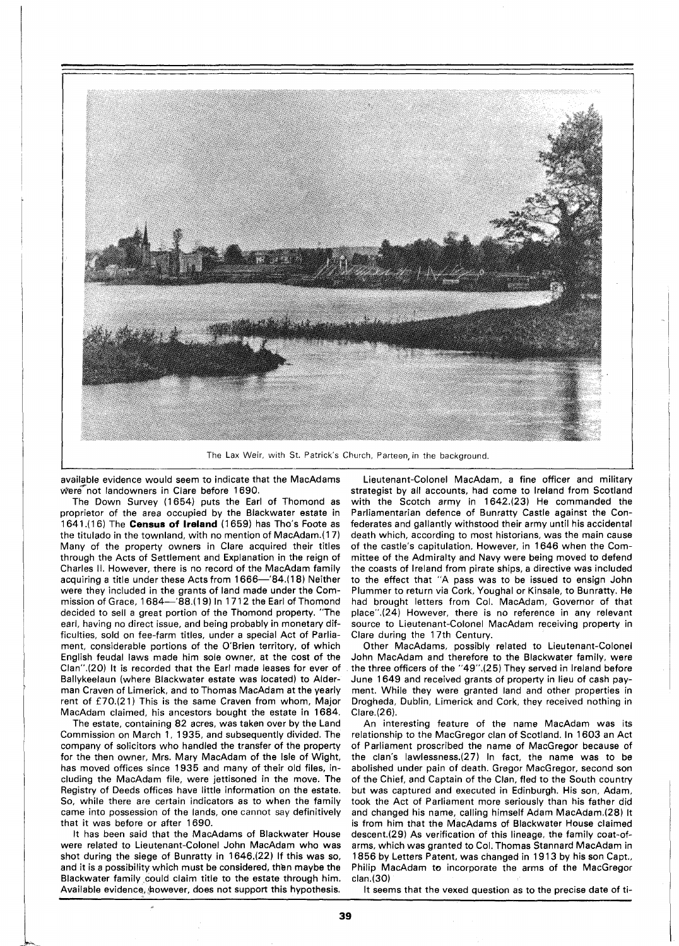

The Lax Weir, with St. Patrick's Church, Parteen, in the background

available evidence would seem to indicate that the MacAdams were not landowners in Clare before 1690.

The Down Survey (1654) puts the Earl of Thomond as proprietor of the area occupied by the Blackwater estate in 1641.(16) The **Census of Ireland** (1659) has Tho's Foote as the titulado in the townland, with no mention of MacAdam.(17) Many of the property owners in Clare acquired their titles through the Acts of Settlement and Explanation in the reign of Charles II. However, there is no record of the MacAdam family acquiring a title under these Acts from 1666-'84.(18) Neither were they included in the grants of land made under the Commission of Grace, 1684-'88.(19) In 1712 the Earl of Thomond decided to sell a great portion of the Thomond property. "The earl, having no direct issue, and being probably in monetary difficulties, sold on fee-farm titles, under a special Act of Parliament, considerable portions of the O'Brien territory, of which English feudal laws made him sole owner, at the cost of the Clan".(20) It is recorded that the Earl made leases for ever of Ballykeelaun (where Blackwater estate was located) to Alderman Craven of Limerick, and to Thomas MacAdam at the yearly rent of E70.(21) This is the same Craven from whom, Major MacAdam claimed, his ancestors bought the estate in 1684.

The estate, containing 82 acres, was taken over by the Land Commission on March 1, 1935, and subsequently divided. The company of solicitors who handled the transfer of the property for the then owner, Mrs. Mary MacAdam of the Isle of Wight, has moved offices since 1935 and many of their old files, including the MacAdam file, were jettisoned in the move. The Registry of Deeds offices have little information on the estate. So, while there are certain indicators as to when the family came into possession of the lands, one cannot say definitively that it was before or after 1690.

It has been said that the MacAdams of Blackwater House were related to Lieutenant-Colonel John MacAdam who was shot during the siege of Bunratty in 1646.(22) If this was so, and it is a possibility which must be considered, then maybe the Blackwater family could claim title to the estate through him. Available evidence, however, does not support this hypothesis.

Lieutenant-Colonel MacAdam, a fine officer and military strategist by all accounts, had come to lreland from Scotland with the Scotch army in 1642.(23) He commanded the Parliamentarian defence of Bunratty Castle against the Confederates and gallantly withstood their army until his accidental death which, according to most historians, was the main cause of the castle's capitulation. However, in 1646 when the Committee of the Admiralty and Navy were being moved to defend the coasts of lreland from pirate ships, a directive was included to the effect that "A pass was to be issued to ensign John Plummer to return via Cork, Youghal or Kinsale, to Bunratty. He had brought letters from Col. MacAdam, Governor of that place".(24) However, there is no reference in any relevant source to Lieutenant-Colonel MacAdam receiving property in Clare during the 17th Century.

Other MacAdams, possibly related to Lieutenant-Colonel John MacAdam and therefore to the Blackwater family, were the three officers of the "49".(25) They served in lreland before June 1649 and received grants of property in lieu of cash payment. While they were granted land and other properties in Drogheda, Dublin, Limerick and Cork, they received nothing in Clare.(26).

An interesting feature of the name MacAdam was its relationship to the MacGregor clan of Scotland. In 1603 an Act of Parliament proscribed the name of MacGregor because of the clan's lawlessness.(27) In fact, the name was to be abolished under pain of death. Gregor MacGregor, second son of the Chief, and Captain of the Clan, fled to the South country but was captured and executed in Edinburgh. His son, Adam, took the Act of Parliament more seriously than his father did and changed his name, calling himself Adam MacAdam.(28) It is from him that the MacAdams of Blackwater House claimed descent.(29) As verification of this lineage, the family coat-ofarms, which was granted to Col. Thomas Stannard MacAdam in 1856 by Letters Patent, was changed in 19 13 by his son Capt., Philip MacAdam to incorporate the arms of the MacGregor clan.(30)

It seems that the vexed question as to the precise date of ti-